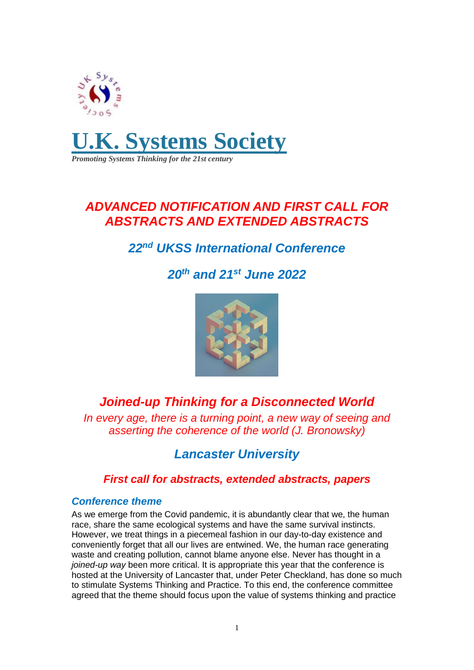

*Promoting Systems Thinking for the 21st century*

### *ADVANCED NOTIFICATION AND FIRST CALL FOR ABSTRACTS AND EXTENDED ABSTRACTS*

## *22 nd UKSS International Conference*

# *20th and 21st June 2022*



## *Joined-up Thinking for a Disconnected World*

*In every age, there is a turning point, a new way of seeing and asserting the coherence of the world (J. Bronowsky)*

### *Lancaster University*

### *First call for abstracts, extended abstracts, papers*

#### *Conference theme*

As we emerge from the Covid pandemic, it is abundantly clear that we, the human race, share the same ecological systems and have the same survival instincts. However, we treat things in a piecemeal fashion in our day-to-day existence and conveniently forget that all our lives are entwined. We, the human race generating waste and creating pollution, cannot blame anyone else. Never has thought in a *joined-up way* been more critical. It is appropriate this year that the conference is hosted at the University of Lancaster that, under Peter Checkland, has done so much to stimulate Systems Thinking and Practice. To this end, the conference committee agreed that the theme should focus upon the value of systems thinking and practice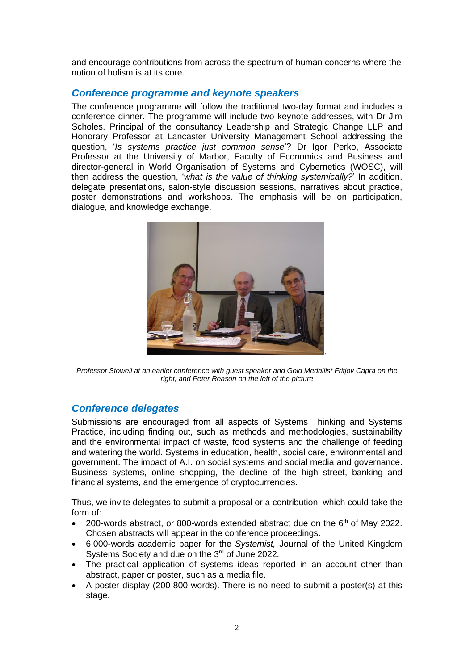and encourage contributions from across the spectrum of human concerns where the notion of holism is at its core.

#### *Conference programme and keynote speakers*

The conference programme will follow the traditional two-day format and includes a conference dinner. The programme will include two keynote addresses, with Dr Jim Scholes, Principal of the consultancy Leadership and Strategic Change LLP and Honorary Professor at Lancaster University Management School addressing the question, '*Is systems practice just common sense*'? Dr Igor Perko, Associate Professor at the University of Marbor, Faculty of Economics and Business and director-general in World Organisation of Systems and Cybernetics (WOSC), will then address the question, '*what is the value of thinking systemically?*' In addition, delegate presentations, salon-style discussion sessions, narratives about practice, poster demonstrations and workshops. The emphasis will be on participation, dialogue, and knowledge exchange.



*Professor Stowell at an earlier conference with guest speaker and Gold Medallist Fritjov Capra on the right, and Peter Reason on the left of the picture*

#### *Conference delegates*

Submissions are encouraged from all aspects of Systems Thinking and Systems Practice, including finding out, such as methods and methodologies, sustainability and the environmental impact of waste, food systems and the challenge of feeding and watering the world. Systems in education, health, social care, environmental and government. The impact of A.I. on social systems and social media and governance. Business systems, online shopping, the decline of the high street, banking and financial systems, and the emergence of cryptocurrencies.

Thus, we invite delegates to submit a proposal or a contribution, which could take the form of:

- 200-words abstract, or 800-words extended abstract due on the  $6<sup>th</sup>$  of May 2022. Chosen abstracts will appear in the conference proceedings.
- 6,000-words academic paper for the *Systemist,* Journal of the United Kingdom Systems Society and due on the 3rd of June 2022.
- The practical application of systems ideas reported in an account other than abstract, paper or poster, such as a media file.
- A poster display (200-800 words). There is no need to submit a poster(s) at this stage.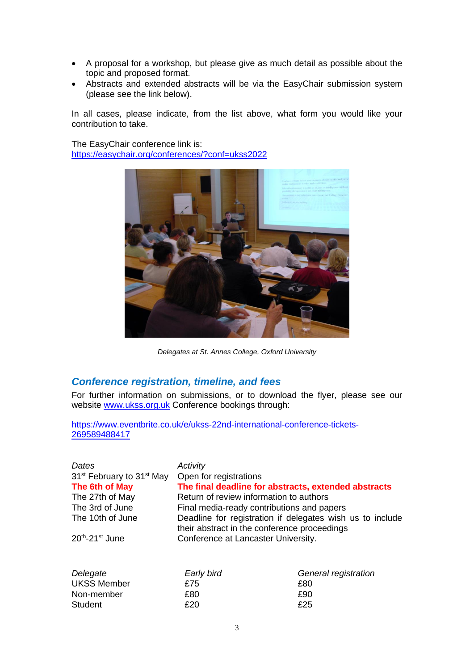- A proposal for a workshop, but please give as much detail as possible about the topic and proposed format.
- Abstracts and extended abstracts will be via the EasyChair submission system (please see the link below).

In all cases, please indicate, from the list above, what form you would like your contribution to take.

The EasyChair conference link is: [https://easychair.org/conferences/?conf=ukss2022](https://eur02.safelinks.protection.outlook.com/?url=https%3A%2F%2Feasychair.org%2Fconferences%2F%3Fconf%3Dukss2022&data=04%7C01%7Cgevans%40bournemouth.ac.uk%7C1b47854a39c04861133408d9f0a09f41%7Cede29655d09742e4bbb5f38d427fbfb8%7C0%7C0%7C637805394937642703%7CUnknown%7CTWFpbGZsb3d8eyJWIjoiMC4wLjAwMDAiLCJQIjoiV2luMzIiLCJBTiI6Ik1haWwiLCJXVCI6Mn0%3D%7C3000&sdata=8WATojdlcKzIafJ1EDJof1Nz14PO6QNFgmki%2BkAFTr4%3D&reserved=0)



*Delegates at St. Annes College, Oxford University*

#### *Conference registration, timeline, and fees*

For further information on submissions, or to download the flyer, please see our website [www.ukss.org.uk](http://www.ukss.org.uk/) Conference bookings through:

[https://www.eventbrite.co.uk/e/ukss-22nd-international-conference-tickets-](https://www.eventbrite.co.uk/e/ukss-22nd-international-conference-tickets-269589488417)[269589488417](https://www.eventbrite.co.uk/e/ukss-22nd-international-conference-tickets-269589488417)

| Dates                                             | Activity                                                                                                  |                      |
|---------------------------------------------------|-----------------------------------------------------------------------------------------------------------|----------------------|
| 31 <sup>st</sup> February to 31 <sup>st</sup> May | Open for registrations                                                                                    |                      |
| The 6th of May                                    | The final deadline for abstracts, extended abstracts                                                      |                      |
| The 27th of May                                   | Return of review information to authors                                                                   |                      |
| The 3rd of June                                   | Final media-ready contributions and papers                                                                |                      |
| The 10th of June                                  | Deadline for registration if delegates wish us to include<br>their abstract in the conference proceedings |                      |
| $20th - 21st$ June                                | Conference at Lancaster University.                                                                       |                      |
| Delegate                                          | Early bird                                                                                                | General registration |
|                                                   |                                                                                                           |                      |
| <b>UKSS Member</b>                                | £75                                                                                                       | £80                  |

Non-member  $£80$   $£90$ Student **£20** £25